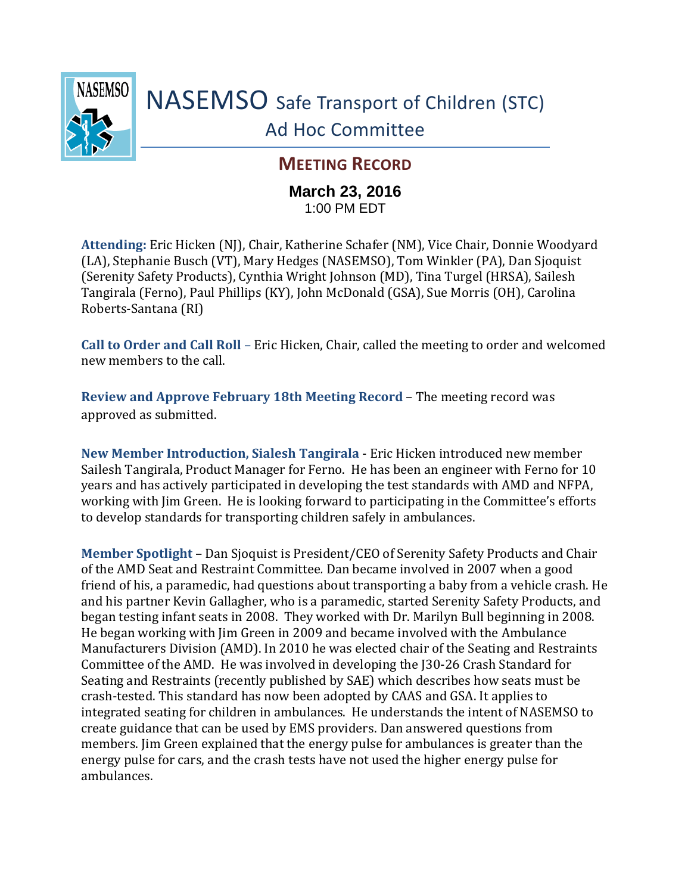

## **MEETING RECORD**

## **March 23, 2016** 1:00 PM EDT

**Attending:** Eric Hicken (NJ), Chair, Katherine Schafer (NM), Vice Chair, Donnie Woodyard (LA), Stephanie Busch (VT), Mary Hedges (NASEMSO), Tom Winkler (PA), Dan Sjoquist (Serenity Safety Products), Cynthia Wright Johnson (MD), Tina Turgel (HRSA), Sailesh Tangirala (Ferno), Paul Phillips (KY), John McDonald (GSA), Sue Morris (OH), Carolina Roberts-Santana (RI)

**Call to Order and Call Roll** – Eric Hicken, Chair, called the meeting to order and welcomed new members to the call.

**Review and Approve February 18th Meeting Record** – The meeting record was approved as submitted.

**New Member Introduction, Sialesh Tangirala** - Eric Hicken introduced new member Sailesh Tangirala, Product Manager for Ferno. He has been an engineer with Ferno for 10 years and has actively participated in developing the test standards with AMD and NFPA, working with Jim Green. He is looking forward to participating in the Committee's efforts to develop standards for transporting children safely in ambulances.

**Member Spotlight** – Dan Sjoquist is President/CEO of Serenity Safety Products and Chair of the AMD Seat and Restraint Committee*.* Dan became involved in 2007 when a good friend of his, a paramedic, had questions about transporting a baby from a vehicle crash. He and his partner Kevin Gallagher, who is a paramedic, started Serenity Safety Products, and began testing infant seats in 2008. They worked with Dr. Marilyn Bull beginning in 2008. He began working with Jim Green in 2009 and became involved with the Ambulance Manufacturers Division (AMD). In 2010 he was elected chair of the Seating and Restraints Committee of the AMD. He was involved in developing the J30-26 Crash Standard for Seating and Restraints (recently published by SAE) which describes how seats must be crash-tested. This standard has now been adopted by CAAS and GSA. It applies to integrated seating for children in ambulances. He understands the intent of NASEMSO to create guidance that can be used by EMS providers. Dan answered questions from members. Jim Green explained that the energy pulse for ambulances is greater than the energy pulse for cars, and the crash tests have not used the higher energy pulse for ambulances.